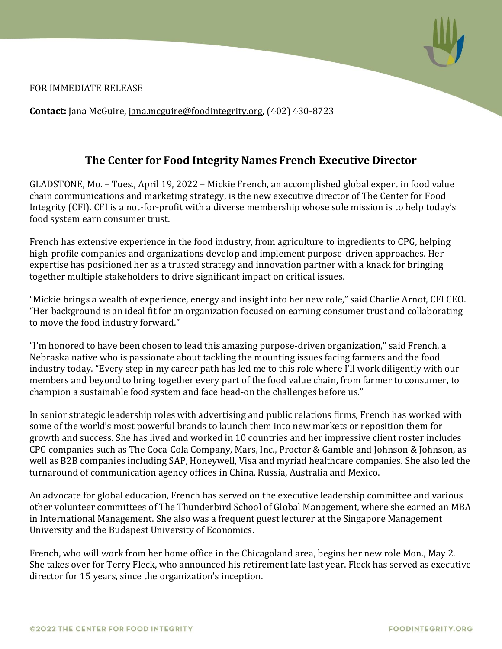

FOR IMMEDIATE RELEASE

**Contact:** Jana McGuire, [jana.mcguire@foodintegrity.org,](mailto:jana.mcguire@foodintegrity.org) (402) 430-8723

## **The Center for Food Integrity Names French Executive Director**

GLADSTONE, Mo. – Tues., April 19, 2022 – Mickie French, an accomplished global expert in food value chain communications and marketing strategy, is the new executive director of The Center for Food Integrity (CFI). CFI is a not-for-profit with a diverse membership whose sole mission is to help today's food system earn consumer trust.

French has extensive experience in the food industry, from agriculture to ingredients to CPG, helping high-profile companies and organizations develop and implement purpose-driven approaches. Her expertise has positioned her as a trusted strategy and innovation partner with a knack for bringing together multiple stakeholders to drive significant impact on critical issues.

"Mickie brings a wealth of experience, energy and insight into her new role," said Charlie Arnot, CFI CEO. "Her background is an ideal fit for an organization focused on earning consumer trust and collaborating to move the food industry forward."

"I'm honored to have been chosen to lead this amazing purpose-driven organization," said French, a Nebraska native who is passionate about tackling the mounting issues facing farmers and the food industry today. "Every step in my career path has led me to this role where I'll work diligently with our members and beyond to bring together every part of the food value chain, from farmer to consumer, to champion a sustainable food system and face head-on the challenges before us."

In senior strategic leadership roles with advertising and public relations firms, French has worked with some of the world's most powerful brands to launch them into new markets or reposition them for growth and success. She has lived and worked in 10 countries and her impressive client roster includes CPG companies such as The Coca-Cola Company, Mars, Inc., Proctor & Gamble and Johnson & Johnson, as well as B2B companies including SAP, Honeywell, Visa and myriad healthcare companies. She also led the turnaround of communication agency offices in China, Russia, Australia and Mexico.

An advocate for global education, French has served on the executive leadership committee and various other volunteer committees of The Thunderbird School of Global Management, where she earned an MBA in International Management. She also was a frequent guest lecturer at the Singapore Management University and the Budapest University of Economics.

French, who will work from her home office in the Chicagoland area, begins her new role Mon., May 2. She takes over for Terry Fleck, who announced his retirement late last year. Fleck has served as executive director for 15 years, since the organization's inception.